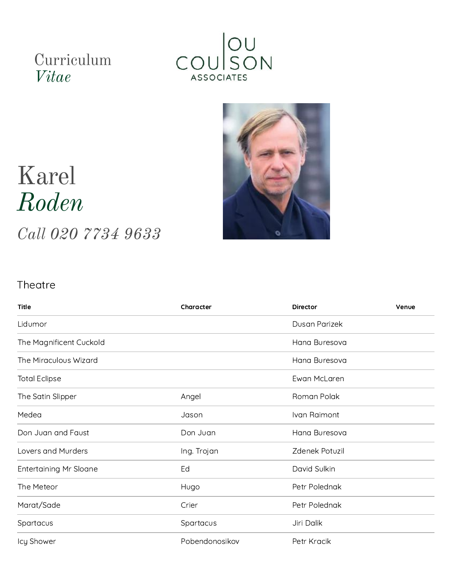## Curriculum *Vitae*





## Karel *Roden*

*Call 020 7734 9633*

## **Theatre**

| <b>Title</b>                  | Character      | Director       | Venue |
|-------------------------------|----------------|----------------|-------|
| Lidumor                       |                | Dusan Parizek  |       |
| The Magnificent Cuckold       |                | Hana Buresova  |       |
| The Miraculous Wizard         |                | Hana Buresova  |       |
| <b>Total Eclipse</b>          |                | Ewan McLaren   |       |
| The Satin Slipper             | Angel          | Roman Polak    |       |
| Medea                         | Jason          | Ivan Raimont   |       |
| Don Juan and Faust            | Don Juan       | Hana Buresova  |       |
| Lovers and Murders            | Ing. Trojan    | Zdenek Potuzil |       |
| <b>Entertaining Mr Sloane</b> | Ed             | David Sulkin   |       |
| The Meteor                    | Hugo           | Petr Polednak  |       |
| Marat/Sade                    | Crier          | Petr Polednak  |       |
| Spartacus                     | Spartacus      | Jiri Dalik     |       |
| Icy Shower                    | Pobendonosikov | Petr Kracik    |       |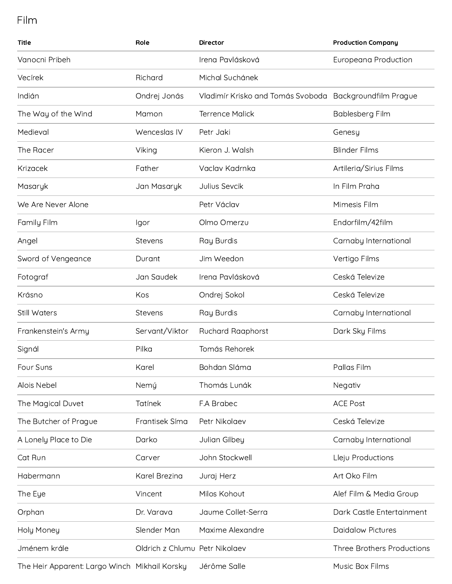Film

| <b>Title</b>                                  | Role                           | <b>Director</b>                   | <b>Production Company</b>    |
|-----------------------------------------------|--------------------------------|-----------------------------------|------------------------------|
| Vanocni Pribeh                                |                                | Irena Pavlásková                  | <b>Europeana Production</b>  |
| Vecírek                                       | Richard                        | Michal Suchánek                   |                              |
| Indián                                        | Ondrej Jonás                   | Vladimír Krisko and Tomás Svoboda | <b>Backgroundfilm Prague</b> |
| The Way of the Wind                           | Mamon                          | <b>Terrence Malick</b>            | Bablesberg Film              |
| Medieval                                      | Wenceslas IV                   | Petr Jaki                         | Genesy                       |
| The Racer                                     | Viking                         | Kieron J. Walsh                   | <b>Blinder Films</b>         |
| Krizacek                                      | Father                         | Vaclav Kadrnka                    | Artileria/Sirius Films       |
| Masaryk                                       | Jan Masaryk                    | Julius Sevcik                     | In Film Praha                |
| We Are Never Alone                            |                                | Petr Václav                       | Mimesis Film                 |
| Family Film                                   | Igor                           | Olmo Omerzu                       | Endorfilm/42film             |
| Angel                                         | Stevens                        | Ray Burdis                        | Carnaby International        |
| Sword of Vengeance                            | Durant                         | Jim Weedon                        | Vertigo Films                |
| Fotograf                                      | Jan Saudek                     | Irena Pavlásková                  | Ceská Televize               |
| Krásno                                        | Kos                            | Ondrej Sokol                      | Ceská Televize               |
| Still Waters                                  | Stevens                        | Ray Burdis                        | Carnaby International        |
| Frankenstein's Army                           | Servant/Viktor                 | <b>Ruchard Raaphorst</b>          | Dark Sky Films               |
| Signál                                        | Pilka                          | Tomás Rehorek                     |                              |
| Four Suns                                     | Karel                          | Bohdan Sláma                      | Pallas Film                  |
| Alois Nebel                                   | Nemý                           | Thomás Lunák                      | Negativ                      |
| The Magical Duvet                             | <b>Tatínek</b>                 | F.A Brabec                        | <b>ACE Post</b>              |
| The Butcher of Prague                         | Frantisek Síma                 | Petr Nikolaev                     | Ceská Televize               |
| A Lonely Place to Die                         | Darko                          | Julian Gilbey                     | Carnaby International        |
| Cat Run                                       | Carver                         | John Stockwell                    | Lleju Productions            |
| Habermann                                     | Karel Brezina                  | Juraj Herz                        | Art Oko Film                 |
| The Eye                                       | Vincent                        | Milos Kohout                      | Alef Film & Media Group      |
| Orphan                                        | Dr. Varava                     | Jaume Collet-Serra                | Dark Castle Entertainment    |
| Holy Money                                    | Slender Man                    | Maxime Alexandre                  | <b>Daidalow Pictures</b>     |
| Jménem krále                                  | Oldrich z Chlumu Petr Nikolaev |                                   | Three Brothers Productions   |
| The Heir Apparent: Largo Winch Mikhail Korsky |                                | Jérôme Salle                      | Music Box Films              |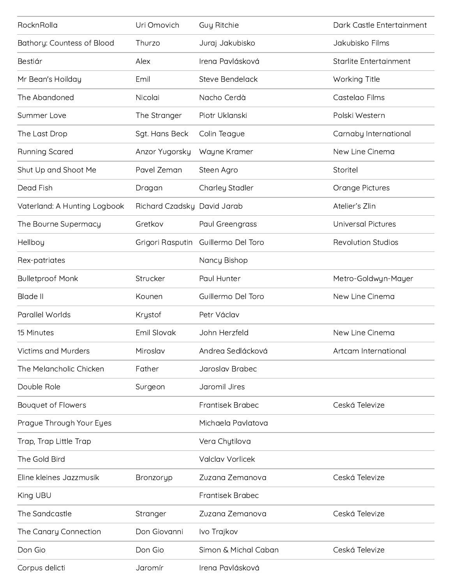| RocknRolla                   | Uri Omovich                 | Guy Ritchie             | Dark Castle Entertainment |
|------------------------------|-----------------------------|-------------------------|---------------------------|
| Bathory: Countess of Blood   | Thurzo                      | Juraj Jakubisko         | Jakubisko Films           |
| Bestiár                      | Alex                        | Irena Pavlásková        | Starlite Entertainment    |
| Mr Bean's Hoilday            | Emil                        | Steve Bendelack         | Working Title             |
| The Abandoned                | Nicolai                     | Nacho Cerdà             | Castelao Films            |
| Summer Love                  | The Stranger                | Piotr Uklanski          | Polski Western            |
| The Last Drop                | Sgt. Hans Beck              | Colin Teague            | Carnaby International     |
| Running Scared               | Anzor Yugorsky              | Wayne Kramer            | New Line Cinema           |
| Shut Up and Shoot Me         | Pavel Zeman                 | Steen Agro              | Storitel                  |
| Dead Fish                    | Dragan                      | Charley Stadler         | Orange Pictures           |
| Vaterland: A Hunting Logbook | Richard Czadsky David Jarab |                         | Atelier's Zlin            |
| The Bourne Supermacy         | Gretkov                     | Paul Greengrass         | <b>Universal Pictures</b> |
| Hellboy                      | Grigori Rasputin            | Guillermo Del Toro      | <b>Revolution Studios</b> |
| Rex-patriates                |                             | Nancy Bishop            |                           |
| <b>Bulletproof Monk</b>      | Strucker                    | Paul Hunter             | Metro-Goldwyn-Mayer       |
| <b>Blade II</b>              | Kounen                      | Guillermo Del Toro      | New Line Cinema           |
| Parallel Worlds              | Krystof                     | Petr Václav             |                           |
| 15 Minutes                   | Emil Slovak                 | John Herzfeld           | New Line Cinema           |
| <b>Victims and Murders</b>   | Miroslav                    | Andrea Sedlácková       | Artcam International      |
| The Melancholic Chicken      | Father                      | Jaroslav Brabec         |                           |
| Double Role                  | Surgeon                     | Jaromil Jires           |                           |
| Bouquet of Flowers           |                             | <b>Frantisek Brabec</b> | Ceská Televize            |
| Prague Through Your Eyes     |                             | Michaela Pavlatova      |                           |
| Trap, Trap Little Trap       |                             | Vera Chytilova          |                           |
| The Gold Bird                |                             | Valclav Vorlicek        |                           |
| Eline kleines Jazzmusik      | Bronzoryp                   | Zuzana Zemanova         | Ceská Televize            |
| King UBU                     |                             | <b>Frantisek Brabec</b> |                           |
| The Sandcastle               | Stranger                    | Zuzana Zemanova         | Ceská Televize            |
| The Canary Connection        | Don Giovanni                | Ivo Trajkov             |                           |
| Don Gio                      | Don Gio                     | Simon & Michal Caban    | Ceská Televize            |
| Corpus delicti               | Jaromír                     | Irena Pavlásková        |                           |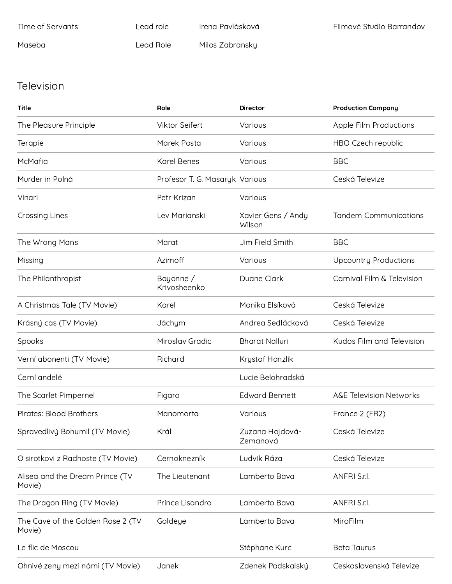| Time of Servants | Lead role. | Irena Pavlásková | Filmové Studio Barrandov |
|------------------|------------|------------------|--------------------------|
| Maseba           | Lead Role- | Milos Zabransky  |                          |

## Television

| Title                                       | Role                           | <b>Director</b>              | <b>Production Company</b>          |
|---------------------------------------------|--------------------------------|------------------------------|------------------------------------|
| The Pleasure Principle                      | <b>Viktor Seifert</b>          | Various                      | Apple Film Productions             |
| Terapie                                     | Marek Posta                    | Various                      | HBO Czech republic                 |
| McMafia                                     | <b>Karel Benes</b>             | Various                      | <b>BBC</b>                         |
| Murder in Polná                             | Profesor T. G. Masaryk Various |                              | Ceská Televize                     |
| Vinari                                      | Petr Krizan                    | Various                      |                                    |
| <b>Crossing Lines</b>                       | Lev Marianski                  | Xavier Gens / Andy<br>Wilson | <b>Tandem Communications</b>       |
| The Wrong Mans                              | Marat                          | Jim Field Smith              | <b>BBC</b>                         |
| Missing                                     | Azimoff                        | Various                      | <b>Upcountry Productions</b>       |
| The Philanthropist                          | Bayonne /<br>Krivosheenko      | Duane Clark                  | Carnival Film & Television         |
| A Christmas Tale (TV Movie)                 | Karel                          | Monika Elsíková              | Ceská Televize                     |
| Krásný cas (TV Movie)                       | Jáchym                         | Andrea Sedlácková            | Ceská Televize                     |
| Spooks                                      | Miroslav Gradic                | <b>Bharat Nalluri</b>        | Kudos Film and Television          |
| Verní abonenti (TV Movie)                   | Richard                        | Krystof Hanzlík              |                                    |
| Cerní andelé                                |                                | Lucie Belohradská            |                                    |
| The Scarlet Pimpernel                       | Figaro                         | <b>Edward Bennett</b>        | <b>A&amp;E Television Networks</b> |
| Pirates: Blood Brothers                     | Manomorta                      | Various                      | France 2 (FR2)                     |
| Spravedlivý Bohumil (TV Movie)              | Král                           | Zuzana Hojdová-<br>Zemanová  | Ceská Televize                     |
| O sirotkovi z Radhoste (TV Movie)           | Cernoknezník                   | Ludvík Ráza                  | Ceská Televize                     |
| Alisea and the Dream Prince (TV<br>Movie)   | The Lieutenant                 | Lamberto Bava                | ANFRI S.r.l.                       |
| The Dragon Ring (TV Movie)                  | Prince Lisandro                | Lamberto Bava                | ANFRI S.r.l.                       |
| The Cave of the Golden Rose 2 (TV<br>Movie) | Goldeye                        | Lamberto Bava                | MiroFilm                           |
| Le flic de Moscou                           |                                | Stéphane Kurc                | <b>Beta Taurus</b>                 |
| Ohnivé zeny mezi námi (TV Movie)            | Janek                          | Zdenek Podskalský            | Ceskoslovenská Televize            |